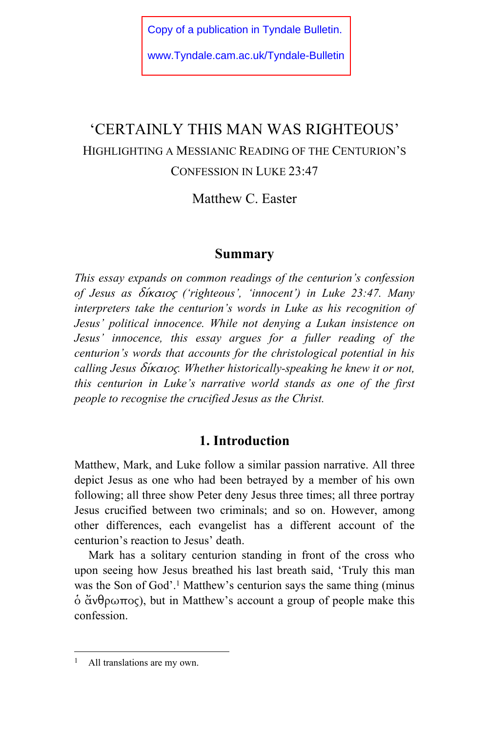[Copy of a publication in Tyndale Bulletin.](http://www.tyndale.cam.ac.uk/tyndale-bulletin)  www.Tyndale.cam.ac.uk/Tyndale-Bulletin

# 'CERTAINLY THIS MAN WAS RIGHTEOUS' HIGHLIGHTING A MESSIANIC READING OF THE CENTURION'S CONFESSION IN LUKE 23:47

Matthew C. Easter

# **Summary**

*This essay expands on common readings of the centurion's confession of Jesus as* δίκαιος *('righteous', 'innocent') in Luke 23:47. Many interpreters take the centurion's words in Luke as his recognition of Jesus' political innocence. While not denying a Lukan insistence on Jesus' innocence, this essay argues for a fuller reading of the centurion's words that accounts for the christological potential in his calling Jesus* δίκαιος*. Whether historically-speaking he knew it or not, this centurion in Luke's narrative world stands as one of the first people to recognise the crucified Jesus as the Christ.* 

# **1. Introduction**

Matthew, Mark, and Luke follow a similar passion narrative. All three depict Jesus as one who had been betrayed by a member of his own following; all three show Peter deny Jesus three times; all three portray Jesus crucified between two criminals; and so on. However, among other differences, each evangelist has a different account of the centurion's reaction to Jesus' death.

Mark has a solitary centurion standing in front of the cross who upon seeing how Jesus breathed his last breath said, 'Truly this man was the Son of God'.<sup>1</sup> Matthew's centurion says the same thing (minus  $\dot{\text{o}}$   $\text{α}$ νθρωπος), but in Matthew's account a group of people make this confession.

<sup>&</sup>lt;sup>1</sup> All translations are my own.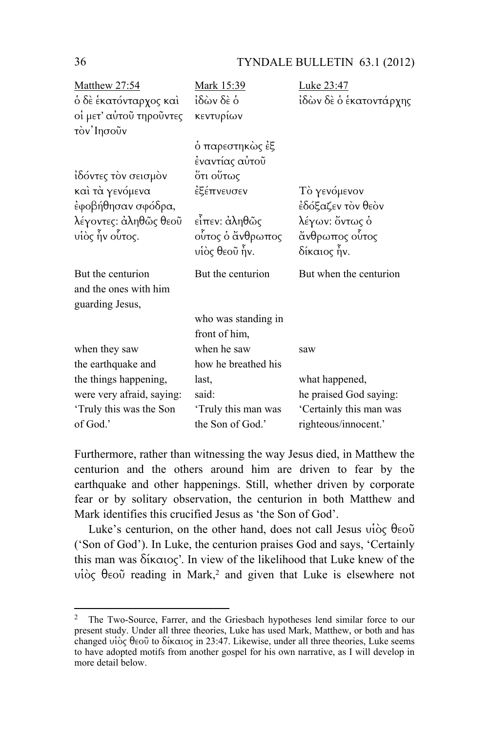## 36 TYNDALE BULLETIN 63.1 (2012)

| Matthew 27:54             | Mark 15:39          | Luke 23:47              |
|---------------------------|---------------------|-------------------------|
| ὁ δὲ ἑκατόνταρχος καὶ     | ίδὼν δὲ ὁ           | ἰδὼν δὲ ὁ ἑκατοντάρχης  |
| οί μετ' αύτοῦ τηροῦντες   | κεντυρίων           |                         |
| τον' Ιησοῦν               |                     |                         |
|                           | ό παρεστηκὼς ἐξ     |                         |
|                           | ἐναντίας αὐτοῦ      |                         |
| ίδόντες τον σεισμον       | ότι ο <b>ύ</b> τως  |                         |
| καὶ τὰ γενόμενα           | ἐξέπνευσεν          | Τὸ γενόμενον            |
| έφοβήθησαν σφόδρα,        |                     | έδόξαζεν τὸν θεὸν       |
| λέγοντες: ἀληθῶς θεοῦ     | εἶπεν: ἀληθῶς       | λέγων: ὄντως ὁ          |
| υίὸς ἦν οὗτος.            | οὗτος ὁ ἄνθρωπος    | άνθρωπος ούτος          |
|                           | υἱὸς θεοῦ ἦν.       | δίκαιος ἦν.             |
| But the centurion         | But the centurion   | But when the centurion  |
| and the ones with him     |                     |                         |
| guarding Jesus,           |                     |                         |
|                           | who was standing in |                         |
|                           | front of him,       |                         |
| when they saw             | when he saw         | saw                     |
| the earthquake and        | how he breathed his |                         |
| the things happening,     | last,               | what happened,          |
| were very afraid, saying: | said:               | he praised God saying:  |
| 'Truly this was the Son   | 'Truly this man was | 'Certainly this man was |
| of God.'                  | the Son of God.'    | righteous/innocent.'    |

Furthermore, rather than witnessing the way Jesus died, in Matthew the centurion and the others around him are driven to fear by the earthquake and other happenings. Still, whether driven by corporate fear or by solitary observation, the centurion in both Matthew and Mark identifies this crucified Jesus as 'the Son of God'.

Luke's centurion, on the other hand, does not call Jesus υἱὸς θεοῦ ('Son of God'). In Luke, the centurion praises God and says, 'Certainly this man was δίκαιος'. In view of the likelihood that Luke knew of the υἱὸς θεοῦ reading in Mark,2 and given that Luke is elsewhere not

<sup>&</sup>lt;sup>2</sup> The Two-Source, Farrer, and the Griesbach hypotheses lend similar force to our present study. Under all three theories, Luke has used Mark, Matthew, or both and has changed υἱὸς θεοῦ to δίκαιος in 23:47. Likewise, under all three theories, Luke seems to have adopted motifs from another gospel for his own narrative, as I will develop in more detail below.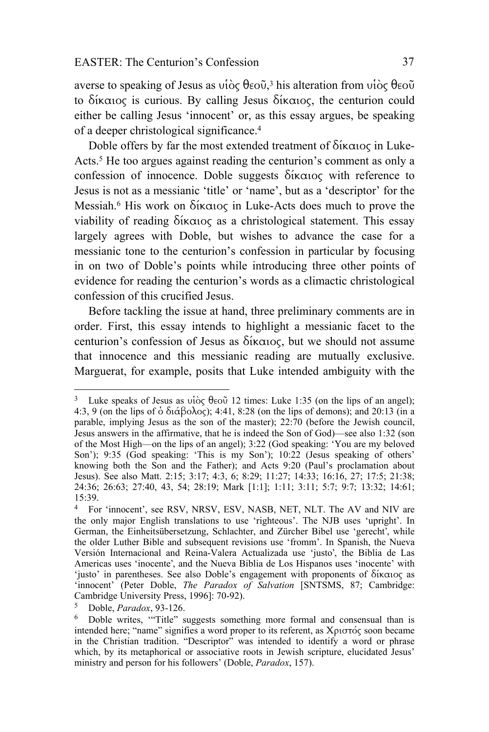averse to speaking of Jesus as υἱὸς θεοῦ, 3 his alteration from υἱὸς θεοῦ to δίκαιος is curious. By calling Jesus δίκαιος, the centurion could either be calling Jesus 'innocent' or, as this essay argues, be speaking of a deeper christological significance.4

Doble offers by far the most extended treatment of δίκαιος in Luke-Acts.<sup>5</sup> He too argues against reading the centurion's comment as only a confession of innocence. Doble suggests δίκαιος with reference to Jesus is not as a messianic 'title' or 'name', but as a 'descriptor' for the Messiah.6 His work on δίκαιος in Luke-Acts does much to prove the viability of reading δίκαιος as a christological statement. This essay largely agrees with Doble, but wishes to advance the case for a messianic tone to the centurion's confession in particular by focusing in on two of Doble's points while introducing three other points of evidence for reading the centurion's words as a climactic christological confession of this crucified Jesus.

Before tackling the issue at hand, three preliminary comments are in order. First, this essay intends to highlight a messianic facet to the centurion's confession of Jesus as δίκαιος, but we should not assume that innocence and this messianic reading are mutually exclusive. Marguerat, for example, posits that Luke intended ambiguity with the

<sup>&</sup>lt;sup>3</sup> Luke speaks of Jesus as νίὸς θεοῦ 12 times: Luke 1:35 (on the lips of an angel); 4:3, 9 (on the lips of  $\dot{\text{o}}$  διάβολος); 4:41, 8:28 (on the lips of demons); and 20:13 (in a parable, implying Jesus as the son of the master); 22:70 (before the Jewish council, Jesus answers in the affirmative, that he is indeed the Son of God)—see also 1:32 (son of the Most High—on the lips of an angel); 3:22 (God speaking: 'You are my beloved Son'); 9:35 (God speaking: 'This is my Son'); 10:22 (Jesus speaking of others' knowing both the Son and the Father); and Acts 9:20 (Paul's proclamation about Jesus). See also Matt. 2:15; 3:17; 4:3, 6; 8:29; 11:27; 14:33; 16:16, 27; 17:5; 21:38; 24:36; 26:63; 27:40, 43, 54; 28:19; Mark [1:1]; 1:11; 3:11; 5:7; 9:7; 13:32; 14:61; 15:39.

<sup>4</sup> For 'innocent', see RSV, NRSV, ESV, NASB, NET, NLT. The AV and NIV are the only major English translations to use 'righteous'. The NJB uses 'upright'. In German, the Einheitsübersetzung, Schlachter, and Zürcher Bibel use 'gerecht', while the older Luther Bible and subsequent revisions use 'fromm'. In Spanish, the Nueva Versión Internacional and Reina-Valera Actualizada use 'justo', the Biblia de Las Americas uses 'inocente', and the Nueva Biblia de Los Hispanos uses 'inocente' with 'justo' in parentheses. See also Doble's engagement with proponents of δίκαιος as 'innocent' (Peter Doble, *The Paradox of Salvation* [SNTSMS, 87; Cambridge: Cambridge University Press, 1996]: 70-92).

<sup>&</sup>lt;sup>5</sup> Doble, *Paradox*, 93-126.<br><sup>6</sup> Doble writes, "Title" suggests something more formal and consensual than is intended here; "name" signifies a word proper to its referent, as Χριστός soon became in the Christian tradition. "Descriptor" was intended to identify a word or phrase which, by its metaphorical or associative roots in Jewish scripture, elucidated Jesus' ministry and person for his followers' (Doble, *Paradox*, 157).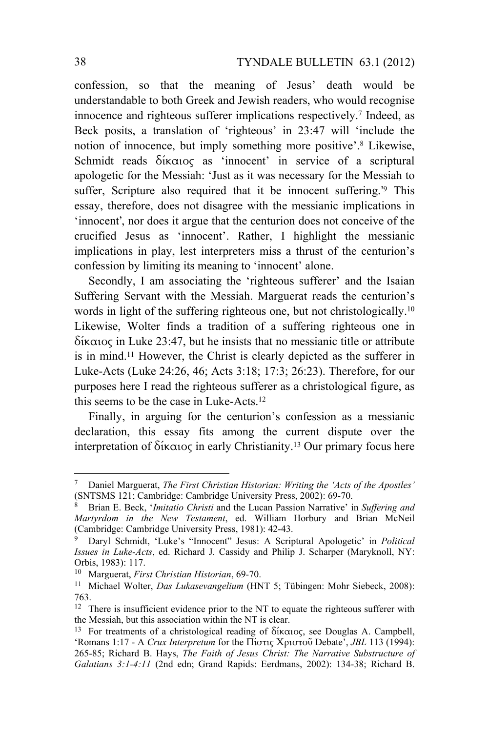confession, so that the meaning of Jesus' death would be understandable to both Greek and Jewish readers, who would recognise innocence and righteous sufferer implications respectively.7 Indeed, as Beck posits, a translation of 'righteous' in 23:47 will 'include the notion of innocence, but imply something more positive'.8 Likewise, Schmidt reads δίκαιος as 'innocent' in service of a scriptural apologetic for the Messiah: 'Just as it was necessary for the Messiah to suffer, Scripture also required that it be innocent suffering.<sup>39</sup> This essay, therefore, does not disagree with the messianic implications in 'innocent', nor does it argue that the centurion does not conceive of the crucified Jesus as 'innocent'. Rather, I highlight the messianic implications in play, lest interpreters miss a thrust of the centurion's confession by limiting its meaning to 'innocent' alone.

Secondly, I am associating the 'righteous sufferer' and the Isaian Suffering Servant with the Messiah. Marguerat reads the centurion's words in light of the suffering righteous one, but not christologically.<sup>10</sup> Likewise, Wolter finds a tradition of a suffering righteous one in δίκαιος in Luke 23:47, but he insists that no messianic title or attribute is in mind.11 However, the Christ is clearly depicted as the sufferer in Luke-Acts (Luke 24:26, 46; Acts 3:18; 17:3; 26:23). Therefore, for our purposes here I read the righteous sufferer as a christological figure, as this seems to be the case in Luke-Acts.12

Finally, in arguing for the centurion's confession as a messianic declaration, this essay fits among the current dispute over the interpretation of δίκαιος in early Christianity.<sup>13</sup> Our primary focus here

 $\overline{a}$ 

<sup>7</sup> Daniel Marguerat, *The First Christian Historian: Writing the 'Acts of the Apostles'*

<sup>&</sup>lt;sup>8</sup> Brian E. Beck, '*Imitatio Christi* and the Lucan Passion Narrative' in *Suffering and Martyrdom in the New Testament*, ed. William Horbury and Brian McNeil (Cambridge: Cambridge University Press, 1981): 42-43.

<sup>9</sup> Daryl Schmidt, 'Luke's "Innocent" Jesus: A Scriptural Apologetic' in *Political Issues in Luke-Acts*, ed. Richard J. Cassidy and Philip J. Scharper (Maryknoll, NY: Orbis, 1983): 117.

<sup>&</sup>lt;sup>10</sup> Marguerat, *First Christian Historian*, 69-70.<br><sup>11</sup> Michael Wolter, *Das Lukasevangelium* (HNT 5; Tübingen: Mohr Siebeck, 2008): 763.

<sup>&</sup>lt;sup>12</sup> There is insufficient evidence prior to the NT to equate the righteous sufferer with the Messiah, but this association within the NT is clear.<br><sup>13</sup> For treatments of a christological reading of δίκαιος, see Douglas A. Campbell,

<sup>&#</sup>x27;Romans 1:17 - A *Crux Interpretum* for the Πίστις Χριστοῦ Debate', *JBL* 113 (1994): 265-85; Richard B. Hays, *The Faith of Jesus Christ: The Narrative Substructure of Galatians 3:1-4:11* (2nd edn; Grand Rapids: Eerdmans, 2002): 134-38; Richard B.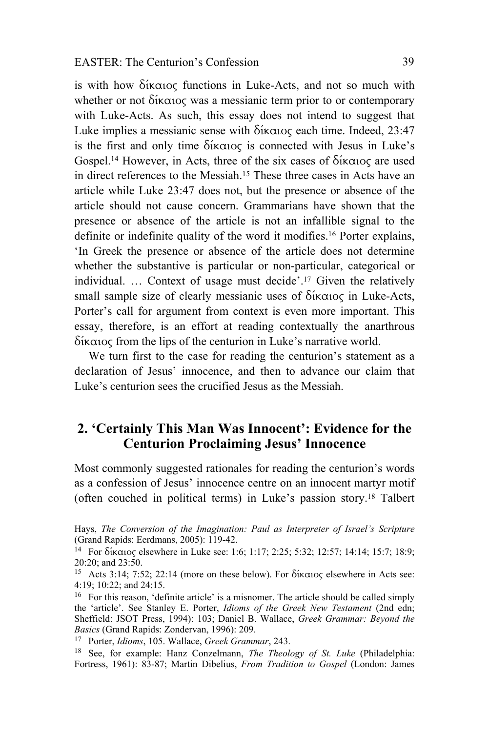is with how δίκαιος functions in Luke-Acts, and not so much with whether or not δίκαιος was a messianic term prior to or contemporary with Luke-Acts. As such, this essay does not intend to suggest that Luke implies a messianic sense with δίκαιος each time. Indeed, 23:47 is the first and only time δίκαιος is connected with Jesus in Luke's Gospel.14 However, in Acts, three of the six cases of δίκαιος are used in direct references to the Messiah.15 These three cases in Acts have an article while Luke 23:47 does not, but the presence or absence of the article should not cause concern. Grammarians have shown that the presence or absence of the article is not an infallible signal to the definite or indefinite quality of the word it modifies.16 Porter explains, 'In Greek the presence or absence of the article does not determine whether the substantive is particular or non-particular, categorical or individual. … Context of usage must decide'.17 Given the relatively small sample size of clearly messianic uses of  $\delta$ ίκαιος in Luke-Acts, Porter's call for argument from context is even more important. This essay, therefore, is an effort at reading contextually the anarthrous δίκαιος from the lips of the centurion in Luke's narrative world.

We turn first to the case for reading the centurion's statement as a declaration of Jesus' innocence, and then to advance our claim that Luke's centurion sees the crucified Jesus as the Messiah.

# **2. 'Certainly This Man Was Innocent': Evidence for the Centurion Proclaiming Jesus' Innocence**

Most commonly suggested rationales for reading the centurion's words as a confession of Jesus' innocence centre on an innocent martyr motif (often couched in political terms) in Luke's passion story.18 Talbert

Hays, *The Conversion of the Imagination: Paul as Interpreter of Israel's Scripture* (Grand Rapids: Eerdmans, 2005): 119-42.

<sup>14</sup> For δίκαιος elsewhere in Luke see: 1:6; 1:17; 2:25; 5:32; 12:57; 14:14; 15:7; 18:9; 20:20; and 23:50.

<sup>15</sup> Acts 3:14; 7:52; 22:14 (more on these below). For δίκαιος elsewhere in Acts see: 4:19; 10:22; and 24:15.

<sup>16</sup> For this reason, 'definite article' is a misnomer. The article should be called simply the 'article'. See Stanley E. Porter, *Idioms of the Greek New Testament* (2nd edn; Sheffield: JSOT Press, 1994): 103; Daniel B. Wallace, *Greek Grammar: Beyond the Basics* (Grand Rapids: Zondervan, 1996): 209.<br><sup>17</sup> Porter, *Idioms*, 105. Wallace, *Greek Grammar*, 243.<br><sup>18</sup> See, for example: Hanz Conzelmann, *The Theology of St. Luke* (Philadelphia:

Fortress, 1961): 83-87; Martin Dibelius, *From Tradition to Gospel* (London: James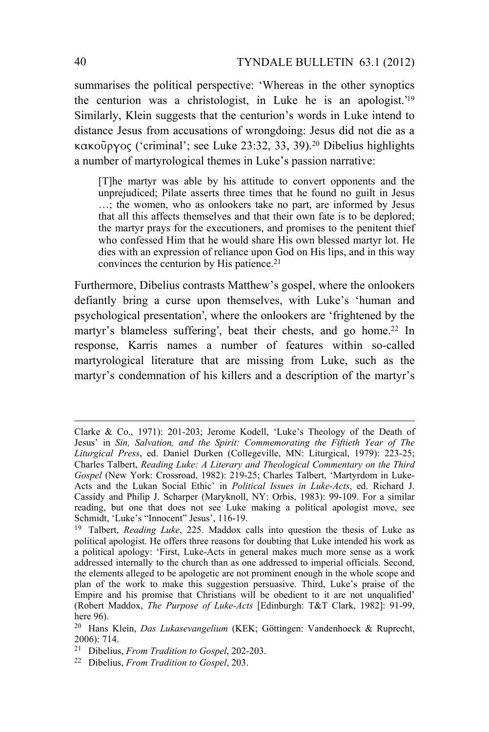summarises the political perspective: 'Whereas in the other synoptics the centurion was a christologist, in Luke he is an apologist.' 19 Similarly, Klein suggests that the centurion's words in Luke intend to distance Jesus from accusations of wrongdoing: Jesus did not die as a κακοῦργος ('criminal'; see Luke 23:32, 33, 39).20 Dibelius highlights a number of martyrological themes in Luke's passion narrative:

[T]he martyr was able by his attitude to convert opponents and the unprejudiced; Pilate asserts three times that he found no guilt in Jesus …; the women, who as onlookers take no part, are informed by Jesus that all this affects themselves and that their own fate is to be deplored; the martyr prays for the executioners, and promises to the penitent thief who confessed Him that he would share His own blessed martyr lot. He dies with an expression of reliance upon God on His lips, and in this way convinces the centurion by His patience.<sup>21</sup>

Furthermore, Dibelius contrasts Matthew's gospel, where the onlookers defiantly bring a curse upon themselves, with Luke's 'human and psychological presentation', where the onlookers are 'frightened by the martyr's blameless suffering', beat their chests, and go home.<sup>22</sup> In response, Karris names a number of features within so-called martyrological literature that are missing from Luke, such as the martyr's condemnation of his killers and a description of the martyr's

Clarke & Co., 1971): 201-203; Jerome Kodell, 'Luke's Theology of the Death of Jesus' in *Sin, Salvation, and the Spirit: Commemorating the Fiftieth Year of The Liturgical Press*, ed. Daniel Durken (Collegeville, MN: Liturgical, 1979): 223-25; Charles Talbert, *Reading Luke: A Literary and Theological Commentary on the Third Gospel* (New York: Crossroad, 1982): 219-25; Charles Talbert, 'Martyrdom in Luke-Acts and the Lukan Social Ethic' in *Political Issues in Luke-Acts*, ed. Richard J. Cassidy and Philip J. Scharper (Maryknoll, NY: Orbis, 1983): 99-109. For a similar reading, but one that does not see Luke making a political apologist move, see Schmidt, 'Luke's "Innocent" Jesus', 116-19.

<sup>19</sup> Talbert, *Reading Luke*, 225. Maddox calls into question the thesis of Luke as political apologist. He offers three reasons for doubting that Luke intended his work as a political apology: 'First, Luke-Acts in general makes much more sense as a work addressed internally to the church than as one addressed to imperial officials. Second, the elements alleged to be apologetic are not prominent enough in the whole scope and plan of the work to make this suggestion persuasive. Third, Luke's praise of the Empire and his promise that Christians will be obedient to it are not unqualified' (Robert Maddox, *The Purpose of Luke-Acts* [Edinburgh: T&T Clark, 1982]: 91-99, here 96).

<sup>20</sup> Hans Klein, *Das Lukasevangelium* (KEK; Göttingen: Vandenhoeck & Ruprecht, 2006): 714.

<sup>21</sup> Dibelius, *From Tradition to Gospel*, 202-203. 22 Dibelius, *From Tradition to Gospel*, 203.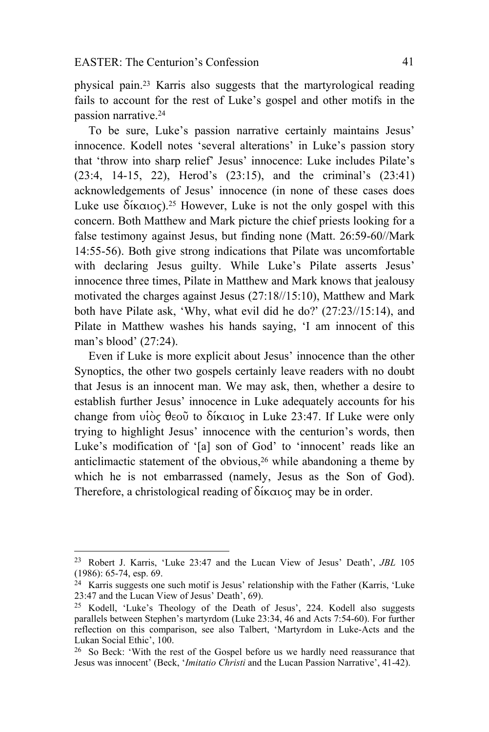physical pain.23 Karris also suggests that the martyrological reading fails to account for the rest of Luke's gospel and other motifs in the passion narrative.24

To be sure, Luke's passion narrative certainly maintains Jesus' innocence. Kodell notes 'several alterations' in Luke's passion story that 'throw into sharp relief' Jesus' innocence: Luke includes Pilate's (23:4, 14-15, 22), Herod's (23:15), and the criminal's (23:41) acknowledgements of Jesus' innocence (in none of these cases does Luke use δίκαιος).<sup>25</sup> However, Luke is not the only gospel with this concern. Both Matthew and Mark picture the chief priests looking for a false testimony against Jesus, but finding none (Matt. 26:59-60//Mark 14:55-56). Both give strong indications that Pilate was uncomfortable with declaring Jesus guilty. While Luke's Pilate asserts Jesus' innocence three times, Pilate in Matthew and Mark knows that jealousy motivated the charges against Jesus (27:18//15:10), Matthew and Mark both have Pilate ask, 'Why, what evil did he do?' (27:23//15:14), and Pilate in Matthew washes his hands saying, 'I am innocent of this man's blood' (27:24).

Even if Luke is more explicit about Jesus' innocence than the other Synoptics, the other two gospels certainly leave readers with no doubt that Jesus is an innocent man. We may ask, then, whether a desire to establish further Jesus' innocence in Luke adequately accounts for his change from υἱὸς θεοῦ to δίκαιος in Luke 23:47. If Luke were only trying to highlight Jesus' innocence with the centurion's words, then Luke's modification of '[a] son of God' to 'innocent' reads like an anticlimactic statement of the obvious,26 while abandoning a theme by which he is not embarrassed (namely, Jesus as the Son of God). Therefore, a christological reading of δίκαιος may be in order.

<sup>23</sup> Robert J. Karris, 'Luke 23:47 and the Lucan View of Jesus' Death', *JBL* 105 (1986): 65-74, esp. 69.

<sup>24</sup> Karris suggests one such motif is Jesus' relationship with the Father (Karris, 'Luke 23:47 and the Lucan View of Jesus' Death', 69).

<sup>25</sup> Kodell, 'Luke's Theology of the Death of Jesus', 224. Kodell also suggests parallels between Stephen's martyrdom (Luke 23:34, 46 and Acts 7:54-60). For further reflection on this comparison, see also Talbert, 'Martyrdom in Luke-Acts and the Lukan Social Ethic', 100.

<sup>26</sup> So Beck: 'With the rest of the Gospel before us we hardly need reassurance that Jesus was innocent' (Beck, '*Imitatio Christi* and the Lucan Passion Narrative', 41-42).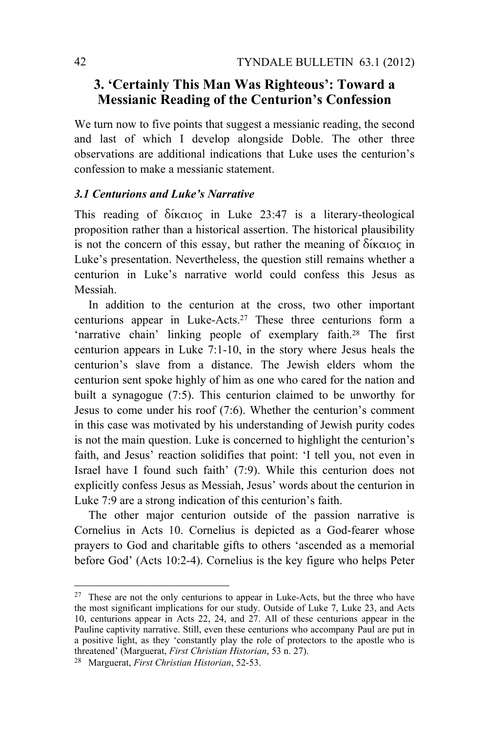# **3. 'Certainly This Man Was Righteous': Toward a Messianic Reading of the Centurion's Confession**

We turn now to five points that suggest a messianic reading, the second and last of which I develop alongside Doble. The other three observations are additional indications that Luke uses the centurion's confession to make a messianic statement.

#### *3.1 Centurions and Luke's Narrative*

This reading of δίκαιος in Luke 23:47 is a literary-theological proposition rather than a historical assertion. The historical plausibility is not the concern of this essay, but rather the meaning of δίκαιος in Luke's presentation. Nevertheless, the question still remains whether a centurion in Luke's narrative world could confess this Jesus as Messiah.

In addition to the centurion at the cross, two other important centurions appear in Luke-Acts.27 These three centurions form a 'narrative chain' linking people of exemplary faith.28 The first centurion appears in Luke 7:1-10, in the story where Jesus heals the centurion's slave from a distance. The Jewish elders whom the centurion sent spoke highly of him as one who cared for the nation and built a synagogue (7:5). This centurion claimed to be unworthy for Jesus to come under his roof (7:6). Whether the centurion's comment in this case was motivated by his understanding of Jewish purity codes is not the main question. Luke is concerned to highlight the centurion's faith, and Jesus' reaction solidifies that point: 'I tell you, not even in Israel have I found such faith' (7:9). While this centurion does not explicitly confess Jesus as Messiah, Jesus' words about the centurion in Luke 7:9 are a strong indication of this centurion's faith.

The other major centurion outside of the passion narrative is Cornelius in Acts 10. Cornelius is depicted as a God-fearer whose prayers to God and charitable gifts to others 'ascended as a memorial before God' (Acts 10:2-4). Cornelius is the key figure who helps Peter

 $27$  These are not the only centurions to appear in Luke-Acts, but the three who have the most significant implications for our study. Outside of Luke 7, Luke 23, and Acts 10, centurions appear in Acts 22, 24, and 27. All of these centurions appear in the Pauline captivity narrative. Still, even these centurions who accompany Paul are put in a positive light, as they 'constantly play the role of protectors to the apostle who is threatened' (Marguerat, *First Christian Historian*, 53 n. 27). 28 Marguerat, *First Christian Historian*, 52-53.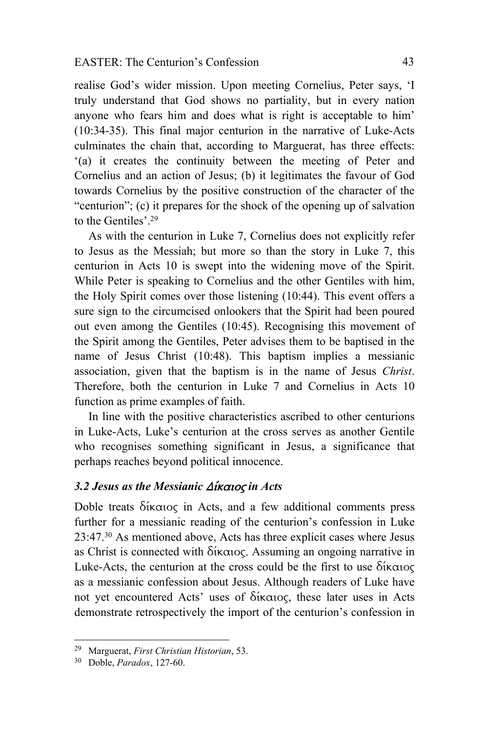realise God's wider mission. Upon meeting Cornelius, Peter says, 'I truly understand that God shows no partiality, but in every nation anyone who fears him and does what is right is acceptable to him' (10:34-35). This final major centurion in the narrative of Luke-Acts culminates the chain that, according to Marguerat, has three effects: '(a) it creates the continuity between the meeting of Peter and Cornelius and an action of Jesus; (b) it legitimates the favour of God towards Cornelius by the positive construction of the character of the "centurion"; (c) it prepares for the shock of the opening up of salvation to the Gentiles' 29

As with the centurion in Luke 7, Cornelius does not explicitly refer to Jesus as the Messiah; but more so than the story in Luke 7, this centurion in Acts 10 is swept into the widening move of the Spirit. While Peter is speaking to Cornelius and the other Gentiles with him, the Holy Spirit comes over those listening (10:44). This event offers a sure sign to the circumcised onlookers that the Spirit had been poured out even among the Gentiles (10:45). Recognising this movement of the Spirit among the Gentiles, Peter advises them to be baptised in the name of Jesus Christ (10:48). This baptism implies a messianic association, given that the baptism is in the name of Jesus *Christ*. Therefore, both the centurion in Luke 7 and Cornelius in Acts 10 function as prime examples of faith.

In line with the positive characteristics ascribed to other centurions in Luke-Acts, Luke's centurion at the cross serves as another Gentile who recognises something significant in Jesus, a significance that perhaps reaches beyond political innocence.

### *3.2 Jesus as the Messianic* Δίκαιος *in Acts*

Doble treats δίκαιος in Acts, and a few additional comments press further for a messianic reading of the centurion's confession in Luke 23:47.30 As mentioned above, Acts has three explicit cases where Jesus as Christ is connected with δίκαιος. Assuming an ongoing narrative in Luke-Acts, the centurion at the cross could be the first to use δίκαιος as a messianic confession about Jesus. Although readers of Luke have not yet encountered Acts' uses of δίκαιος, these later uses in Acts demonstrate retrospectively the import of the centurion's confession in

 $\overline{a}$ 

<sup>29</sup> Marguerat, *First Christian Historian*, 53. 30 Doble, *Paradox*, 127-60.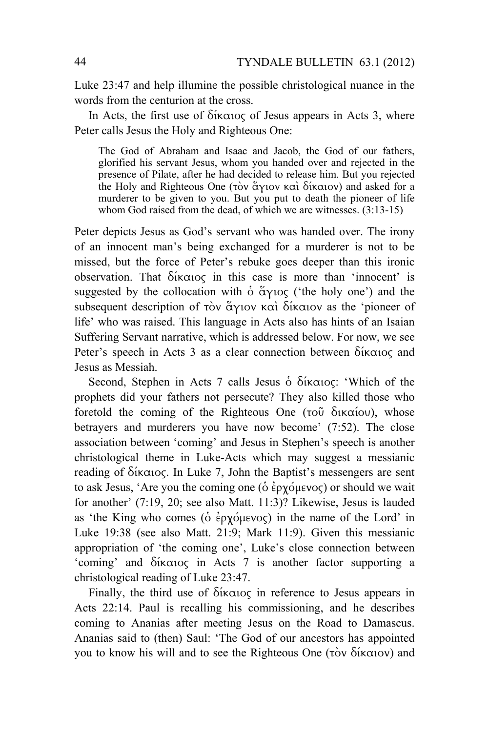Luke 23:47 and help illumine the possible christological nuance in the words from the centurion at the cross.

In Acts, the first use of δίκαιος of Jesus appears in Acts 3, where Peter calls Jesus the Holy and Righteous One:

The God of Abraham and Isaac and Jacob, the God of our fathers, glorified his servant Jesus, whom you handed over and rejected in the presence of Pilate, after he had decided to release him. But you rejected the Holy and Righteous One (τὸν ἅγιον καὶ δίκαιον) and asked for a murderer to be given to you. But you put to death the pioneer of life whom God raised from the dead, of which we are witnesses.  $(3.13-15)$ 

Peter depicts Jesus as God's servant who was handed over. The irony of an innocent man's being exchanged for a murderer is not to be missed, but the force of Peter's rebuke goes deeper than this ironic observation. That δίκαιος in this case is more than 'innocent' is suggested by the collocation with  $\dot{\text{o}}$   $\text{Gy}_1 \text{O}(\text{C}^2)$  ('the holy one') and the subsequent description of τὸν ἅγιον καὶ δίκαιον as the 'pioneer of life' who was raised. This language in Acts also has hints of an Isaian Suffering Servant narrative, which is addressed below. For now, we see Peter's speech in Acts 3 as a clear connection between δίκαιος and Jesus as Messiah.

Second, Stephen in Acts 7 calls Jesus ὁ δίκαιος: 'Which of the prophets did your fathers not persecute? They also killed those who foretold the coming of the Righteous One (τοῦ δικαίου), whose betrayers and murderers you have now become' (7:52). The close association between 'coming' and Jesus in Stephen's speech is another christological theme in Luke-Acts which may suggest a messianic reading of δίκαιος. In Luke 7, John the Baptist's messengers are sent to ask Jesus, 'Are you the coming one (ὁ ἐρχόμενος) or should we wait for another' (7:19, 20; see also Matt. 11:3)? Likewise, Jesus is lauded as 'the King who comes (ὁ ἐρχόμενος) in the name of the Lord' in Luke 19:38 (see also Matt. 21:9; Mark 11:9). Given this messianic appropriation of 'the coming one', Luke's close connection between 'coming' and δίκαιος in Acts 7 is another factor supporting a christological reading of Luke 23:47.

Finally, the third use of δίκαιος in reference to Jesus appears in Acts 22:14. Paul is recalling his commissioning, and he describes coming to Ananias after meeting Jesus on the Road to Damascus. Ananias said to (then) Saul: 'The God of our ancestors has appointed you to know his will and to see the Righteous One (τὸν δίκαιον) and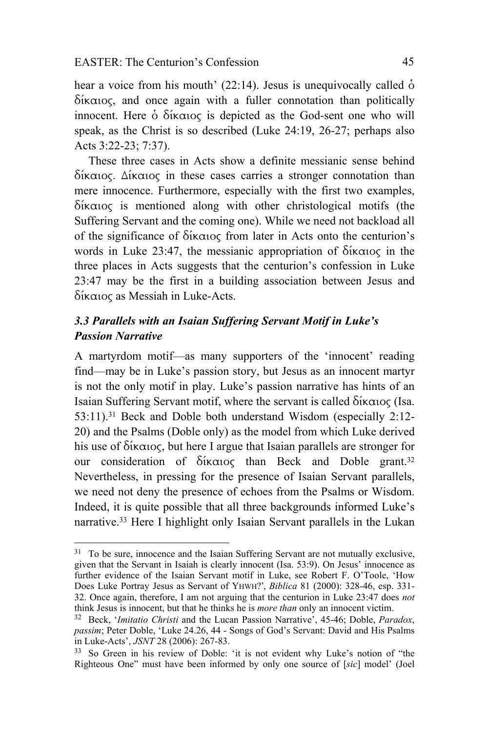hear a voice from his mouth' (22:14). Jesus is unequivocally called  $\dot{\text{o}}$ δίκαιος, and once again with a fuller connotation than politically innocent. Here ὁ δίκαιος is depicted as the God-sent one who will speak, as the Christ is so described (Luke 24:19, 26-27; perhaps also Acts 3:22-23; 7:37).

These three cases in Acts show a definite messianic sense behind δίκαιος. Δίκαιος in these cases carries a stronger connotation than mere innocence. Furthermore, especially with the first two examples, δίκαιος is mentioned along with other christological motifs (the Suffering Servant and the coming one). While we need not backload all of the significance of δίκαιος from later in Acts onto the centurion's words in Luke 23:47, the messianic appropriation of δίκαιος in the three places in Acts suggests that the centurion's confession in Luke 23:47 may be the first in a building association between Jesus and δίκαιος as Messiah in Luke-Acts.

# *3.3 Parallels with an Isaian Suffering Servant Motif in Luke's Passion Narrative*

A martyrdom motif—as many supporters of the 'innocent' reading find—may be in Luke's passion story, but Jesus as an innocent martyr is not the only motif in play. Luke's passion narrative has hints of an Isaian Suffering Servant motif, where the servant is called δίκαιος (Isa. 53:11).31 Beck and Doble both understand Wisdom (especially 2:12- 20) and the Psalms (Doble only) as the model from which Luke derived his use of δίκαιος, but here I argue that Isaian parallels are stronger for our consideration of δίκαιος than Beck and Doble grant.32 Nevertheless, in pressing for the presence of Isaian Servant parallels, we need not deny the presence of echoes from the Psalms or Wisdom. Indeed, it is quite possible that all three backgrounds informed Luke's narrative.33 Here I highlight only Isaian Servant parallels in the Lukan

<sup>&</sup>lt;sup>31</sup> To be sure, innocence and the Isaian Suffering Servant are not mutually exclusive, given that the Servant in Isaiah is clearly innocent (Isa. 53:9). On Jesus' innocence as further evidence of the Isaian Servant motif in Luke, see Robert F. O'Toole, 'How Does Luke Portray Jesus as Servant of YHWH?', *Biblica* 81 (2000): 328-46, esp. 331- 32. Once again, therefore, I am not arguing that the centurion in Luke 23:47 does *not*

<sup>&</sup>lt;sup>32</sup> Beck, '*Imitatio Christi* and the Lucan Passion Narrative', 45-46; Doble, *Paradox*, *passim*; Peter Doble, 'Luke 24.26, 44 - Songs of God's Servant: David and His Psalms in Luke-Acts', *JSNT* 28 (2006): 267-83.<br><sup>33</sup> So Green in his review of Doble: 'it is not evident why Luke's notion of "the

Righteous One" must have been informed by only one source of [*sic*] model' (Joel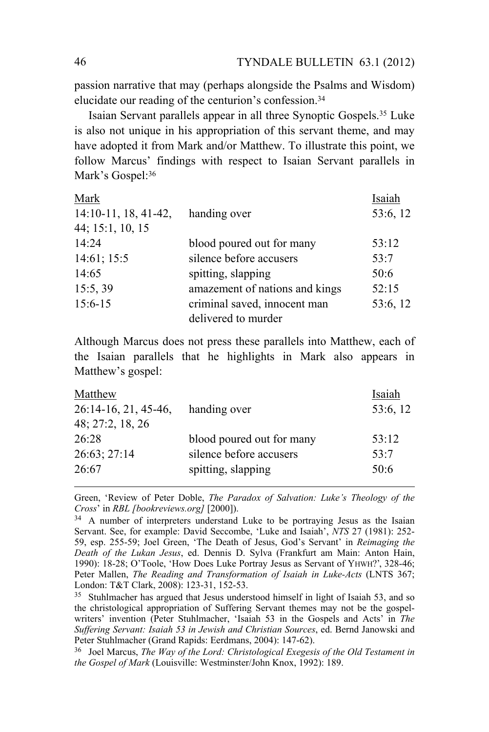passion narrative that may (perhaps alongside the Psalms and Wisdom) elucidate our reading of the centurion's confession.34

Isaian Servant parallels appear in all three Synoptic Gospels.35 Luke is also not unique in his appropriation of this servant theme, and may have adopted it from Mark and/or Matthew. To illustrate this point, we follow Marcus' findings with respect to Isaian Servant parallels in Mark's Gospel: 36

| Mark                   |                                | Isaiah   |
|------------------------|--------------------------------|----------|
| $14:10-11, 18, 41-42,$ | handing over                   | 53:6, 12 |
| 44; 15:1, 10, 15       |                                |          |
| 14:24                  | blood poured out for many      | 53:12    |
| 14:61; 15:5            | silence before accusers        | 53:7     |
| 14:65                  | spitting, slapping             | 50:6     |
| 15:5, 39               | amazement of nations and kings | 52:15    |
| $15:6 - 15$            | criminal saved, innocent man   | 53:6, 12 |
|                        | delivered to murder            |          |

Although Marcus does not press these parallels into Matthew, each of the Isaian parallels that he highlights in Mark also appears in Matthew's gospel:

| Matthew                |                           | Isaiah   |
|------------------------|---------------------------|----------|
| $26:14-16, 21, 45-46,$ | handing over              | 53:6, 12 |
| 48; 27:2, 18, 26       |                           |          |
| 26:28                  | blood poured out for many | 53:12    |
| 26:63; 27:14           | silence before accusers   | 53:7     |
| 26:67                  | spitting, slapping        | 50:6     |
|                        |                           |          |

Green, 'Review of Peter Doble, *The Paradox of Salvation: Luke's Theology of the* 

<sup>&</sup>lt;sup>34</sup> A number of interpreters understand Luke to be portraying Jesus as the Isaian Servant. See, for example: David Seccombe, 'Luke and Isaiah', *NTS* 27 (1981): 252- 59, esp. 255-59; Joel Green, 'The Death of Jesus, God's Servant' in *Reimaging the Death of the Lukan Jesus*, ed. Dennis D. Sylva (Frankfurt am Main: Anton Hain, 1990): 18-28; O'Toole, 'How Does Luke Portray Jesus as Servant of YHWH?', 328-46; Peter Mallen, *The Reading and Transformation of Isaiah in Luke-Acts* (LNTS 367; London: T&T Clark, 2008): 123-31, 152-53.

<sup>35</sup> Stuhlmacher has argued that Jesus understood himself in light of Isaiah 53, and so the christological appropriation of Suffering Servant themes may not be the gospelwriters' invention (Peter Stuhlmacher, 'Isaiah 53 in the Gospels and Acts' in *The Suffering Servant: Isaiah 53 in Jewish and Christian Sources*, ed. Bernd Janowski and Peter Stuhlmacher (Grand Rapids: Eerdmans, 2004): 147-62).

<sup>36</sup> Joel Marcus, *The Way of the Lord: Christological Exegesis of the Old Testament in the Gospel of Mark* (Louisville: Westminster/John Knox, 1992): 189.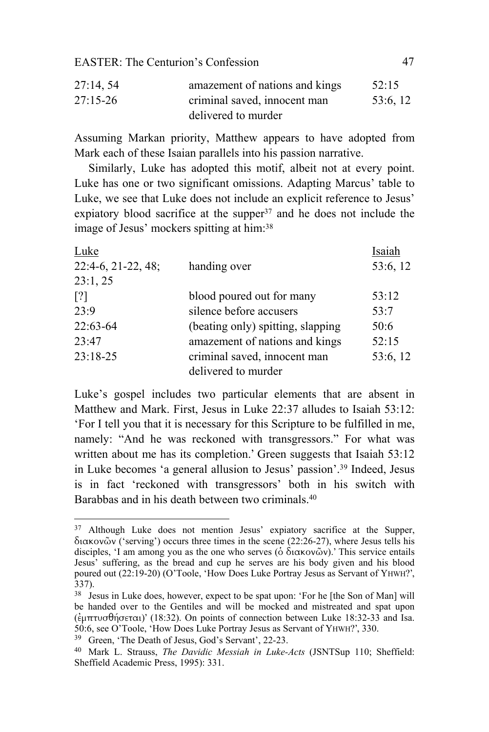| 27:14,54     | amazement of nations and kings | 52:15    |
|--------------|--------------------------------|----------|
| $27:15 - 26$ | criminal saved, innocent man   | 53:6, 12 |
|              | delivered to murder            |          |

Assuming Markan priority, Matthew appears to have adopted from Mark each of these Isaian parallels into his passion narrative.

Similarly, Luke has adopted this motif, albeit not at every point. Luke has one or two significant omissions. Adapting Marcus' table to Luke, we see that Luke does not include an explicit reference to Jesus' expiatory blood sacrifice at the supper $37$  and he does not include the image of Jesus' mockers spitting at him:38

| Luke                 |                                   | Isaiah   |
|----------------------|-----------------------------------|----------|
| $22:4-6, 21-22, 48;$ | handing over                      | 53:6, 12 |
| 23:1, 25             |                                   |          |
| $\lceil$ ?]          | blood poured out for many         | 53:12    |
| 23:9                 | silence before accusers           | 53:7     |
| 22:63-64             | (beating only) spitting, slapping | 50:6     |
| 23:47                | amazement of nations and kings    | 52:15    |
| $23:18-25$           | criminal saved, innocent man      | 53:6, 12 |
|                      | delivered to murder               |          |

Luke's gospel includes two particular elements that are absent in Matthew and Mark. First, Jesus in Luke 22:37 alludes to Isaiah 53:12: 'For I tell you that it is necessary for this Scripture to be fulfilled in me, namely: "And he was reckoned with transgressors." For what was written about me has its completion.' Green suggests that Isaiah 53:12 in Luke becomes 'a general allusion to Jesus' passion'.39 Indeed, Jesus is in fact 'reckoned with transgressors' both in his switch with Barabbas and in his death between two criminals 40

<sup>&</sup>lt;sup>37</sup> Although Luke does not mention Jesus' expiatory sacrifice at the Supper, διακονῶν ('serving') occurs three times in the scene (22:26-27), where Jesus tells his disciples, 'I am among you as the one who serves ( $\delta$  διακονῶν).' This service entails Jesus' suffering, as the bread and cup he serves are his body given and his blood poured out (22:19-20) (O'Toole, 'How Does Luke Portray Jesus as Servant of YHWH?',  $337$ ).

<sup>38</sup> Jesus in Luke does, however, expect to be spat upon: 'For he [the Son of Man] will be handed over to the Gentiles and will be mocked and mistreated and spat upon (ἐμπτυσθήσεται)' (18:32). On points of connection between Luke 18:32-33 and Isa. 50:6, see O'Toole, 'How Does Luke Portray Jesus as Servant of YHWH?', 330. 39 Green, 'The Death of Jesus, God's Servant', 22-23.

<sup>40</sup> Mark L. Strauss, *The Davidic Messiah in Luke-Acts* (JSNTSup 110; Sheffield: Sheffield Academic Press, 1995): 331.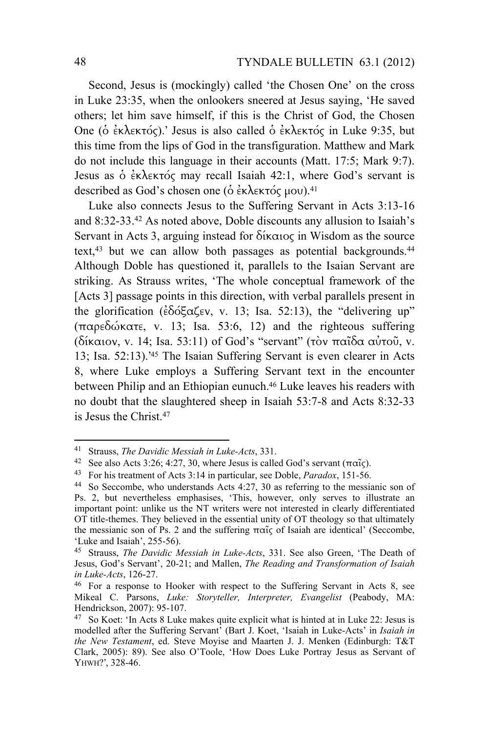Second, Jesus is (mockingly) called 'the Chosen One' on the cross in Luke 23:35, when the onlookers sneered at Jesus saying, 'He saved others; let him save himself, if this is the Christ of God, the Chosen One (ὁ ἐκλεκτός).' Jesus is also called ὁ ἐκλεκτός in Luke 9:35, but this time from the lips of God in the transfiguration. Matthew and Mark do not include this language in their accounts (Matt. 17:5; Mark 9:7). Jesus as ὁ ἐκλεκτός may recall Isaiah 42:1, where God's servant is described as God's chosen one (δ έκλεκτός μου).<sup>41</sup>

Luke also connects Jesus to the Suffering Servant in Acts 3:13-16 and 8:32-33.42 As noted above, Doble discounts any allusion to Isaiah's Servant in Acts 3, arguing instead for δίκαιος in Wisdom as the source text,<sup>43</sup> but we can allow both passages as potential backgrounds.<sup>44</sup> Although Doble has questioned it, parallels to the Isaian Servant are striking. As Strauss writes, 'The whole conceptual framework of the [Acts 3] passage points in this direction, with verbal parallels present in the glorification (ἐδόξαζεν, v. 13; Isa. 52:13), the "delivering up" (παρεδώκατε, v. 13; Isa. 53:6, 12) and the righteous suffering (δίκαιον, v. 14; Isa. 53:11) of God's "servant" (τὸν παῖδα αὐτοῦ, v. 13; Isa. 52:13).' 45 The Isaian Suffering Servant is even clearer in Acts 8, where Luke employs a Suffering Servant text in the encounter between Philip and an Ethiopian eunuch.46 Luke leaves his readers with no doubt that the slaughtered sheep in Isaiah 53:7-8 and Acts 8:32-33 is Jesus the Christ.47

<sup>&</sup>lt;sup>41</sup> Strauss, *The Davidic Messiah in Luke-Acts*, 331.<br><sup>42</sup> See also Acts 3:26; 4:27, 30, where Jesus is called God's servant ( $\pi\alpha\tilde{i}\zeta$ ).<br><sup>43</sup> For his treatment of Acts 3:14 in particular, see Doble, *Paradox*, 151-5

Ps. 2, but nevertheless emphasises, 'This, however, only serves to illustrate an important point: unlike us the NT writers were not interested in clearly differentiated OT title-themes. They believed in the essential unity of OT theology so that ultimately the messianic son of Ps. 2 and the suffering παῖς of Isaiah are identical' (Seccombe, 'Luke and Isaiah', 255-56).

<sup>45</sup> Strauss, *The Davidic Messiah in Luke-Acts*, 331. See also Green, 'The Death of Jesus, God's Servant', 20-21; and Mallen, *The Reading and Transformation of Isaiah in Luke-Acts*, 126-27.<br><sup>46</sup> For a response to Hooker with respect to the Suffering Servant in Acts 8, see

Mikeal C. Parsons, *Luke: Storyteller, Interpreter, Evangelist* (Peabody, MA: Hendrickson, 2007): 95-107.

<sup>47</sup> So Koet: 'In Acts 8 Luke makes quite explicit what is hinted at in Luke 22: Jesus is modelled after the Suffering Servant' (Bart J. Koet, 'Isaiah in Luke-Acts' in *Isaiah in the New Testament*, ed. Steve Moyise and Maarten J. J. Menken (Edinburgh: T&T Clark, 2005): 89). See also O'Toole, 'How Does Luke Portray Jesus as Servant of YHWH?', 328-46.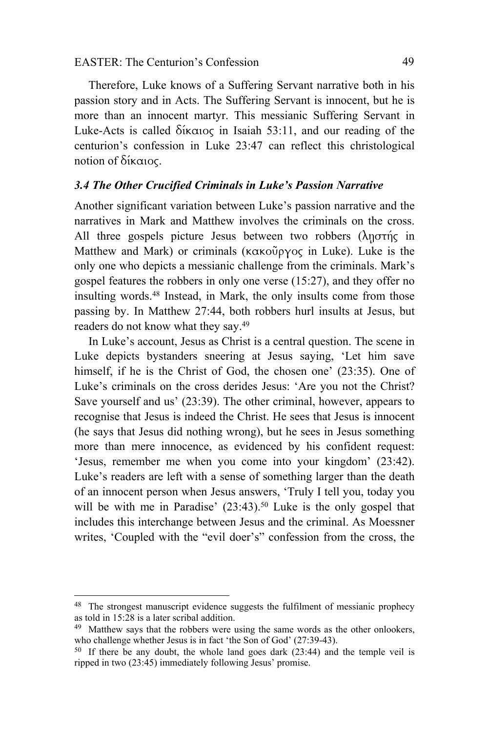Therefore, Luke knows of a Suffering Servant narrative both in his passion story and in Acts. The Suffering Servant is innocent, but he is more than an innocent martyr. This messianic Suffering Servant in Luke-Acts is called δίκαιος in Isaiah 53:11, and our reading of the centurion's confession in Luke 23:47 can reflect this christological notion of δίκαιος.

#### *3.4 The Other Crucified Criminals in Luke's Passion Narrative*

Another significant variation between Luke's passion narrative and the narratives in Mark and Matthew involves the criminals on the cross. All three gospels picture Jesus between two robbers  $(\lambda \eta \sigma)$  in Matthew and Mark) or criminals (κακοῦργος in Luke). Luke is the only one who depicts a messianic challenge from the criminals. Mark's gospel features the robbers in only one verse (15:27), and they offer no insulting words.48 Instead, in Mark, the only insults come from those passing by. In Matthew 27:44, both robbers hurl insults at Jesus, but readers do not know what they say.49

In Luke's account, Jesus as Christ is a central question. The scene in Luke depicts bystanders sneering at Jesus saying, 'Let him save himself, if he is the Christ of God, the chosen one' (23:35). One of Luke's criminals on the cross derides Jesus: 'Are you not the Christ? Save yourself and us' (23:39). The other criminal, however, appears to recognise that Jesus is indeed the Christ. He sees that Jesus is innocent (he says that Jesus did nothing wrong), but he sees in Jesus something more than mere innocence, as evidenced by his confident request: 'Jesus, remember me when you come into your kingdom' (23:42). Luke's readers are left with a sense of something larger than the death of an innocent person when Jesus answers, 'Truly I tell you, today you will be with me in Paradise'  $(23:43)$ .<sup>50</sup> Luke is the only gospel that includes this interchange between Jesus and the criminal. As Moessner writes, 'Coupled with the "evil doer's" confession from the cross, the

<sup>48</sup> The strongest manuscript evidence suggests the fulfilment of messianic prophecy as told in 15:28 is a later scribal addition.

<sup>49</sup> Matthew says that the robbers were using the same words as the other onlookers, who challenge whether Jesus is in fact 'the Son of God' (27:39-43).

 $50$  If there be any doubt, the whole land goes dark (23:44) and the temple veil is ripped in two (23:45) immediately following Jesus' promise.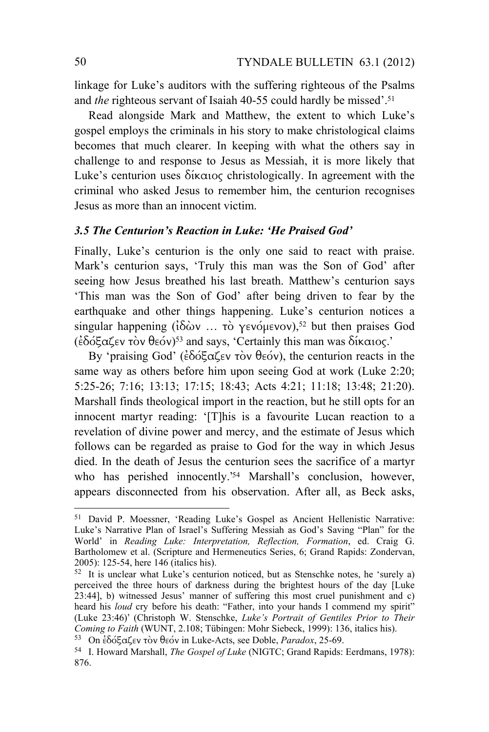linkage for Luke's auditors with the suffering righteous of the Psalms and *the* righteous servant of Isaiah 40-55 could hardly be missed'.<sup>51</sup>

Read alongside Mark and Matthew, the extent to which Luke's gospel employs the criminals in his story to make christological claims becomes that much clearer. In keeping with what the others say in challenge to and response to Jesus as Messiah, it is more likely that Luke's centurion uses δίκαιος christologically. In agreement with the criminal who asked Jesus to remember him, the centurion recognises Jesus as more than an innocent victim.

#### *3.5 The Centurion's Reaction in Luke: 'He Praised God'*

Finally, Luke's centurion is the only one said to react with praise. Mark's centurion says, 'Truly this man was the Son of God' after seeing how Jesus breathed his last breath. Matthew's centurion says 'This man was the Son of God' after being driven to fear by the earthquake and other things happening. Luke's centurion notices a singular happening ( $iδ$ *ων* $... τὸ γενόμενον),<sup>52</sup> but then praises God$ (ἐδόξαζεν τὸν θεόν)53 and says, 'Certainly this man was δίκαιος.'

By 'praising God' (ἐδόξαζεν τὸν θεόν), the centurion reacts in the same way as others before him upon seeing God at work (Luke 2:20; 5:25-26; 7:16; 13:13; 17:15; 18:43; Acts 4:21; 11:18; 13:48; 21:20). Marshall finds theological import in the reaction, but he still opts for an innocent martyr reading: '[T]his is a favourite Lucan reaction to a revelation of divine power and mercy, and the estimate of Jesus which follows can be regarded as praise to God for the way in which Jesus died. In the death of Jesus the centurion sees the sacrifice of a martyr who has perished innocently.' 54 Marshall's conclusion, however, appears disconnected from his observation. After all, as Beck asks,

<sup>51</sup> David P. Moessner, 'Reading Luke's Gospel as Ancient Hellenistic Narrative: Luke's Narrative Plan of Israel's Suffering Messiah as God's Saving "Plan" for the World' in *Reading Luke: Interpretation, Reflection, Formation*, ed. Craig G. Bartholomew et al. (Scripture and Hermeneutics Series, 6; Grand Rapids: Zondervan, 2005): 125-54, here 146 (italics his).

<sup>52</sup> It is unclear what Luke's centurion noticed, but as Stenschke notes, he 'surely a) perceived the three hours of darkness during the brightest hours of the day [Luke 23:44], b) witnessed Jesus' manner of suffering this most cruel punishment and c) heard his *loud* cry before his death: "Father, into your hands I commend my spirit" (Luke 23:46)' (Christoph W. Stenschke, *Luke's Portrait of Gentiles Prior to Their* 

<sup>&</sup>lt;sup>53</sup> On εδόξαζεν τὸν θεόν in Luke-Acts, see Doble, *Paradox*, 25-69.<br><sup>54</sup> I. Howard Marshall, *The Gospel of Luke* (NIGTC; Grand Rapids: Eerdmans, 1978): 876.